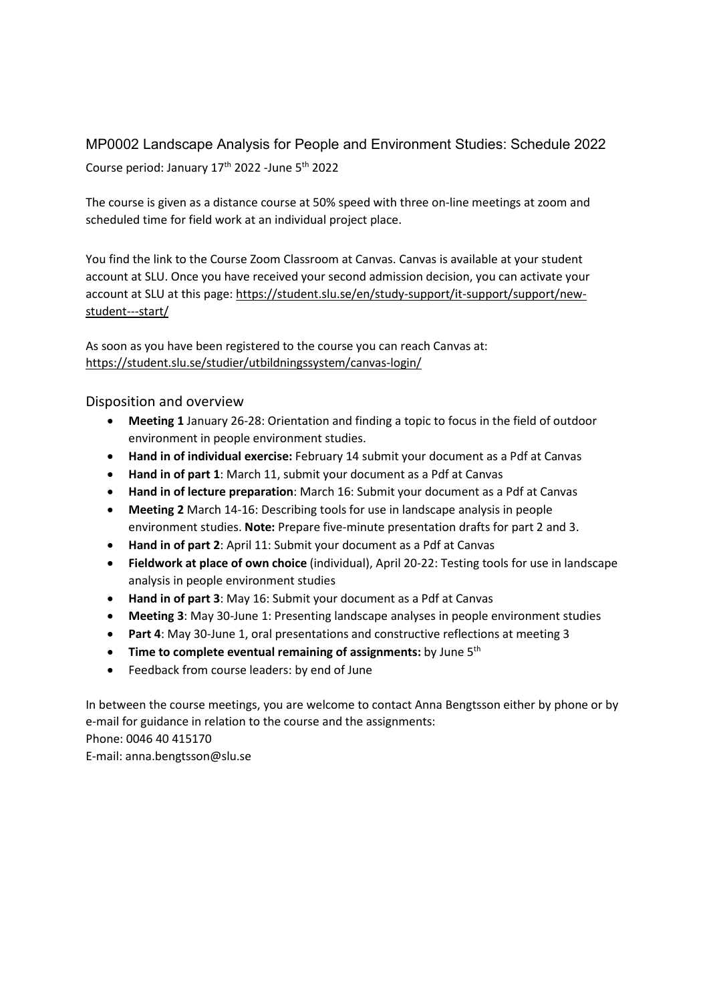MP0002 Landscape Analysis for People and Environment Studies: Schedule 2022 Course period: January 17<sup>th</sup> 2022 -June 5<sup>th</sup> 2022

The course is given as a distance course at 50% speed with three on-line meetings at zoom and scheduled time for field work at an individual project place.

You find the link to the Course Zoom Classroom at Canvas. Canvas is available at your student account at SLU. Once you have received your second admission decision, you can activate your account at SLU at this page: [https://student.slu.se/en/study-support/it-support/support/new](https://student.slu.se/en/study-support/it-support/support/new-student---start/)[student---start/](https://student.slu.se/en/study-support/it-support/support/new-student---start/)

As soon as you have been registered to the course you can reach Canvas at: <https://student.slu.se/studier/utbildningssystem/canvas-login/>

Disposition and overview

- **Meeting 1** January 26-28: Orientation and finding a topic to focus in the field of outdoor environment in people environment studies.
- **Hand in of individual exercise:** February 14 submit your document as a Pdf at Canvas
- **Hand in of part 1**: March 11, submit your document as a Pdf at Canvas
- **Hand in of lecture preparation**: March 16: Submit your document as a Pdf at Canvas
- **Meeting 2** March 14-16: Describing tools for use in landscape analysis in people environment studies. **Note:** Prepare five-minute presentation drafts for part 2 and 3.
- **Hand in of part 2**: April 11: Submit your document as a Pdf at Canvas
- **Fieldwork at place of own choice** (individual), April 20-22: Testing tools for use in landscape analysis in people environment studies
- **Hand in of part 3**: May 16: Submit your document as a Pdf at Canvas
- **Meeting 3**: May 30-June 1: Presenting landscape analyses in people environment studies
- **Part 4**: May 30-June 1, oral presentations and constructive reflections at meeting 3
- **Time to complete eventual remaining of assignments:** by June 5th
- Feedback from course leaders: by end of June

In between the course meetings, you are welcome to contact Anna Bengtsson either by phone or by e-mail for guidance in relation to the course and the assignments: Phone: 0046 40 415170 E-mail: anna.bengtsson@slu.se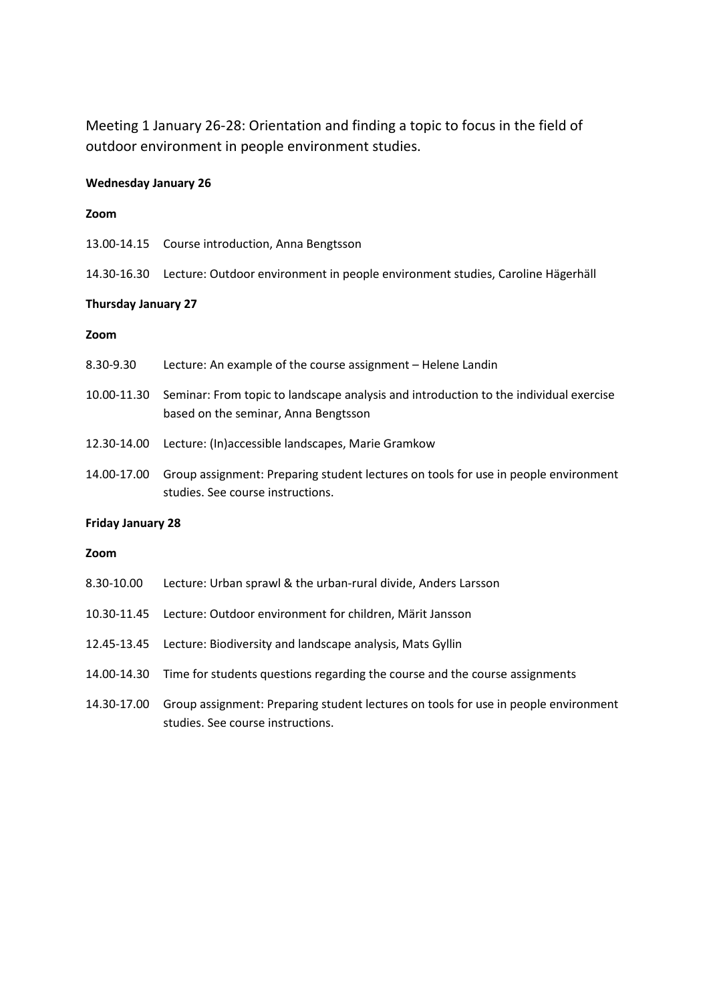Meeting 1 January 26-28: Orientation and finding a topic to focus in the field of outdoor environment in people environment studies.

# **Wednesday January 26**

#### **Zoom**

- 13.00-14.15 Course introduction, Anna Bengtsson
- 14.30-16.30 Lecture: Outdoor environment in people environment studies, Caroline Hägerhäll

## **Thursday January 27**

#### **Zoom**

| <b>Friday January 28</b> |                                                                                                                               |  |
|--------------------------|-------------------------------------------------------------------------------------------------------------------------------|--|
| 14.00-17.00              | Group assignment: Preparing student lectures on tools for use in people environment<br>studies. See course instructions.      |  |
| 12.30-14.00              | Lecture: (In)accessible landscapes, Marie Gramkow                                                                             |  |
| 10.00-11.30              | Seminar: From topic to landscape analysis and introduction to the individual exercise<br>based on the seminar, Anna Bengtsson |  |
| 8.30-9.30                | Lecture: An example of the course assignment - Helene Landin                                                                  |  |

#### **Zoom**

| 8.30-10.00  | Lecture: Urban sprawl & the urban-rural divide, Anders Larsson                                                           |
|-------------|--------------------------------------------------------------------------------------------------------------------------|
| 10.30-11.45 | Lecture: Outdoor environment for children, Märit Jansson                                                                 |
| 12.45-13.45 | Lecture: Biodiversity and landscape analysis, Mats Gyllin                                                                |
|             | 14.00-14.30 Time for students questions regarding the course and the course assignments                                  |
| 14.30-17.00 | Group assignment: Preparing student lectures on tools for use in people environment<br>studies. See course instructions. |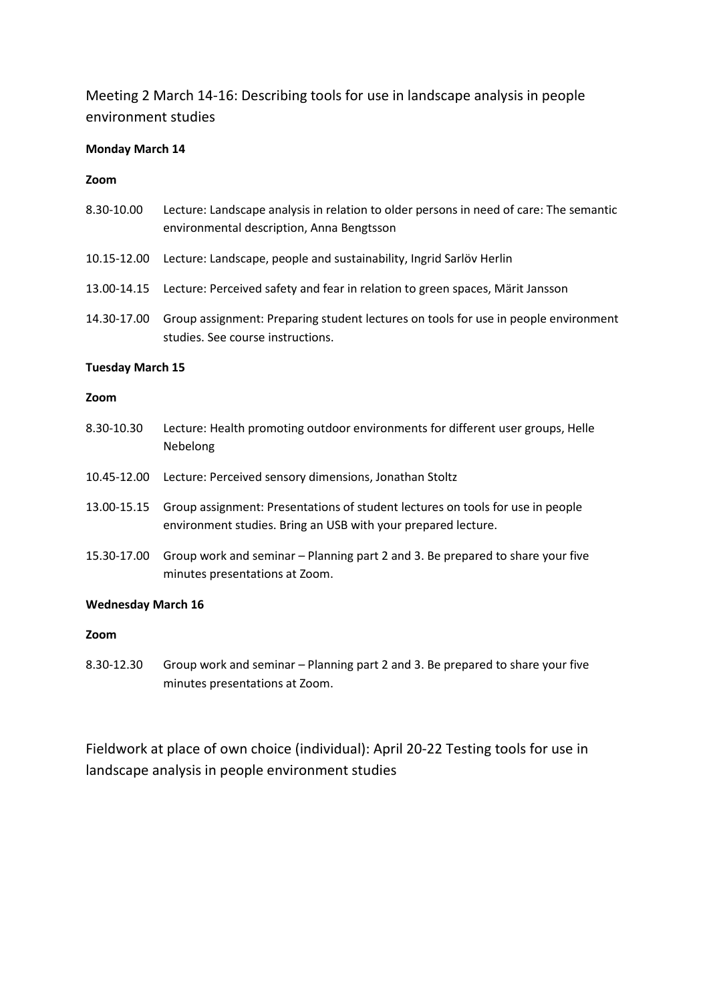Meeting 2 March 14-16: Describing tools for use in landscape analysis in people environment studies

## **Monday March 14**

### **Zoom**

- 8.30-10.00 Lecture: Landscape analysis in relation to older persons in need of care: The semantic environmental description, Anna Bengtsson
- 10.15-12.00 Lecture: Landscape, people and sustainability, Ingrid Sarlöv Herlin
- 13.00-14.15 Lecture: Perceived safety and fear in relation to green spaces, Märit Jansson
- 14.30-17.00 Group assignment: Preparing student lectures on tools for use in people environment studies. See course instructions.

### **Tuesday March 15**

### **Zoom**

- 8.30-10.30 Lecture: Health promoting outdoor environments for different user groups, Helle Nebelong
- 10.45-12.00 Lecture: Perceived sensory dimensions, Jonathan Stoltz
- 13.00-15.15 Group assignment: Presentations of student lectures on tools for use in people environment studies. Bring an USB with your prepared lecture.
- 15.30-17.00 Group work and seminar Planning part 2 and 3. Be prepared to share your five minutes presentations at Zoom.

### **Wednesday March 16**

### **Zoom**

8.30-12.30 Group work and seminar – Planning part 2 and 3. Be prepared to share your five minutes presentations at Zoom.

Fieldwork at place of own choice (individual): April 20-22 Testing tools for use in landscape analysis in people environment studies